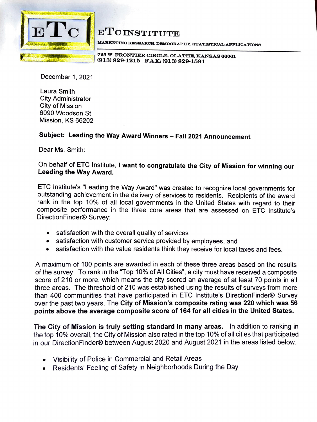

## $ETC1$

**MARKlllTING RESEARCH. DEMOGRAPHY. STATISTIOAL APPLIOATIONS** 

**725 W. FRONTIER CIRCLE, OLATHE, KANSAS 66061 (913) 829-1215 FAX: (913) 829-1591** 

December 1, 2021

Laura Smith City Administrator City of Mission 6090 Woodson St Mission, KS 66202

## **Subject: Leading the Way Award Winners** - **Fall 2021 Announcement**

Dear Ms. Smith:

## On behalf of ETC Institute, I **want to congratulate the City of Mission for winning our Leading the Way Award.**

ETC lnstitute's "Leading the Way Award" was created to recognize local governments for outstanding achievement in the delivery of services to residents. Recipients of the award rank in the top 10% of all local governments in the United States with regard to their composite performance in the three core areas that are assessed on ETC lnstitute's DirectionFinder® Survey:

- satisfaction with the overall quality of services
- satisfaction with customer service provided by employees, and
- satisfaction with the value residents think they receive for local taxes and fees.

A maximum of 100 points are awarded in each of these three areas based on the results of the survey. To rank in the "Top 10% of All Cities", a city must have received a composite score of 210 or more, which means the city scored an average of at least 70 points in all three areas. The threshold of 210 was established using the results of surveys from more than 400 communities that have participated in ETC lnstitute's DirectionFinder® Survey over the past two years. The **City of Mission's composite rating was 220 which was 56 points above the average composite score of 164 for all cities in the United States.** 

**The City of Mission is truly setting standard in many areas.** In addition to ranking in the top 10% overall, the City of Mission also rated in the top 10% of all cities that participated in our DirectionFinder® between August 2020 and August 2021 in the areas listed below.

- Visibility of Police in Commercial and Retail Areas
- Residents' Feeling of Safety in Neighborhoods During the Day